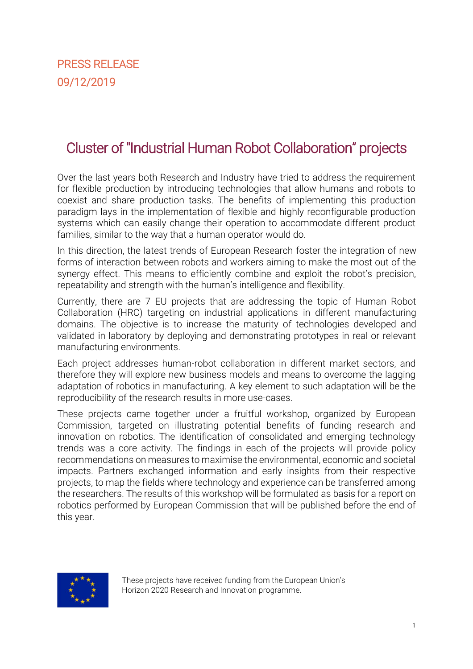# Cluster of "Industrial Human Robot Collaboration" projects

Over the last years both Research and Industry have tried to address the requirement for flexible production by introducing technologies that allow humans and robots to coexist and share production tasks. The benefits of implementing this production paradigm lays in the implementation of flexible and highly reconfigurable production systems which can easily change their operation to accommodate different product families, similar to the way that a human operator would do.

In this direction, the latest trends of European Research foster the integration of new forms of interaction between robots and workers aiming to make the most out of the synergy effect. This means to efficiently combine and exploit the robot's precision, repeatability and strength with the human's intelligence and flexibility.

Currently, there are 7 EU projects that are addressing the topic of Human Robot Collaboration (HRC) targeting on industrial applications in different manufacturing domains. The objective is to increase the maturity of technologies developed and validated in laboratory by deploying and demonstrating prototypes in real or relevant manufacturing environments.

Each project addresses human-robot collaboration in different market sectors, and therefore they will explore new business models and means to overcome the lagging adaptation of robotics in manufacturing. A key element to such adaptation will be the reproducibility of the research results in more use-cases.

These projects came together under a fruitful workshop, organized by European Commission, targeted on illustrating potential benefits of funding research and innovation on robotics. The identification of consolidated and emerging technology trends was a core activity. The findings in each of the projects will provide policy recommendations on measures to maximise the environmental, economic and societal impacts. Partners exchanged information and early insights from their respective projects, to map the fields where technology and experience can be transferred among the researchers. The results of this workshop will be formulated as basis for a report on robotics performed by European Commission that will be published before the end of this year.



These projects have received funding from the European Union's Horizon 2020 Research and Innovation programme.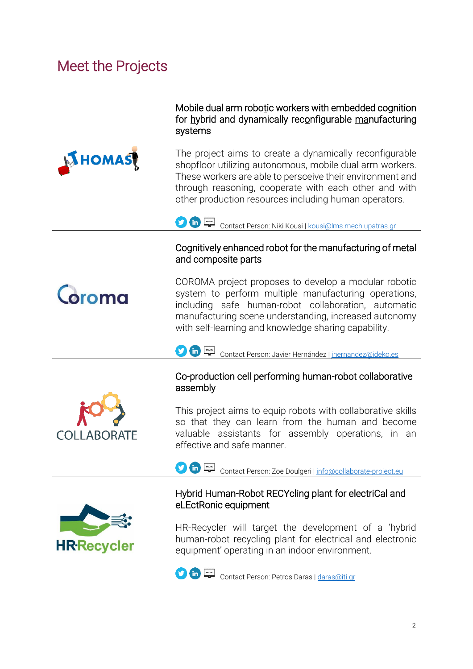# Meet the Projects



Coroma

Mobile dual arm robotic workers with embedded cognition for hybrid and dynamically reconfigurable manufacturing systems

The project aims to create a dynamically reconfigurable shopfloor utilizing autonomous, mobile dual arm workers. These workers are able to persceive their environment and through reasoning, cooperate with each other and with other production resources including human operators.

Contact Person: Niki Kousi [| kousi@lms.mech.upatras.gr](mailto:kousi@lms.mech.upatras.gr)

#### Cognitively enhanced robot for the manufacturing of metal and composite parts

COROMA project proposes to develop a modular robotic system to perform multiple manufacturing operations, including safe human-robot collaboration, automatic manufacturing scene understanding, increased autonomy with self-learning and knowledge sharing capability.



### Co-production cell performing human-robot collaborative assembly

This project aims to equip robots with collaborative skills so that they can learn from the human and become valuable assistants for assembly operations, in an effective and safe manner.



**COLLABORATE** 

Contact Person: Zoe Doulgeri | [info@collaborate-project.eu](mailto:info@collaborate-project.eu)

### Hybrid Human-Robot RECYcling plant for electriCal and eLEctRonic equipment

HR-Recycler will target the development of a 'hybrid human-robot recycling plant for electrical and electronic equipment' operating in an indoor environment.



Contact Person: Petros Daras [| daras@iti.gr](mailto:daras@iti.gr)